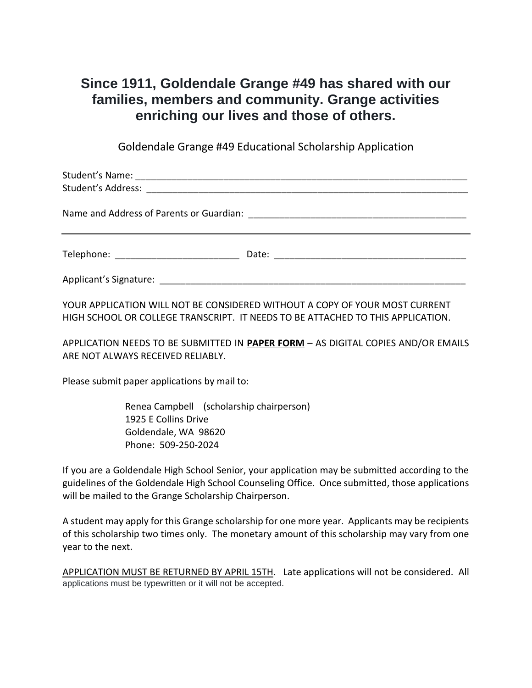## **Since 1911, Goldendale Grange #49 has shared with our families, members and community. Grange activities enriching our lives and those of others.**

Goldendale Grange #49 Educational Scholarship Application

| Telephone: The contract of the contract of the contract of the contract of the contract of the contract of the |  |
|----------------------------------------------------------------------------------------------------------------|--|
| Applicant's Signature:                                                                                         |  |

YOUR APPLICATION WILL NOT BE CONSIDERED WITHOUT A COPY OF YOUR MOST CURRENT HIGH SCHOOL OR COLLEGE TRANSCRIPT. IT NEEDS TO BE ATTACHED TO THIS APPLICATION.

APPLICATION NEEDS TO BE SUBMITTED IN **PAPER FORM** – AS DIGITAL COPIES AND/OR EMAILS ARE NOT ALWAYS RECEIVED RELIABLY.

Please submit paper applications by mail to:

Renea Campbell (scholarship chairperson) 1925 E Collins Drive Goldendale, WA 98620 Phone: 509-250-2024

If you are a Goldendale High School Senior, your application may be submitted according to the guidelines of the Goldendale High School Counseling Office. Once submitted, those applications will be mailed to the Grange Scholarship Chairperson.

A student may apply for this Grange scholarship for one more year. Applicants may be recipients of this scholarship two times only. The monetary amount of this scholarship may vary from one year to the next.

APPLICATION MUST BE RETURNED BY APRIL 15TH. Late applications will not be considered. All applications must be typewritten or it will not be accepted.